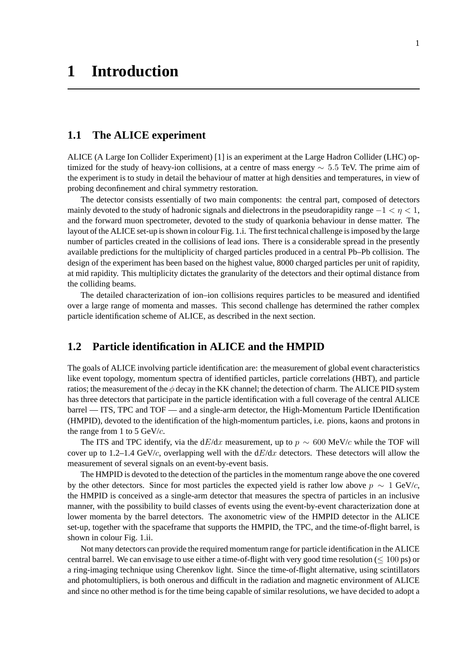# **1.1 The ALICE experiment**

ALICE (A Large Ion Collider Experiment) [1] is an experiment at the Large Hadron Collider (LHC) optimized for the study of heavy-ion collisions, at a centre of mass energy ∼ 5*.*5 TeV. The prime aim of the experiment is to study in detail the behaviour of matter at high densities and temperatures, in view of probing deconfinement and chiral symmetry restoration.

The detector consists essentially of two main components: the central part, composed of detectors mainly devoted to the study of hadronic signals and dielectrons in the pseudorapidity range  $-1 < \eta < 1$ , and the forward muon spectrometer, devoted to the study of quarkonia behaviour in dense matter. The layout of the ALICE set-up is shown in colour Fig. 1.i. The first technical challenge is imposed by the large number of particles created in the collisions of lead ions. There is a considerable spread in the presently available predictions for the multiplicity of charged particles produced in a central Pb–Pb collision. The design of the experiment has been based on the highest value, 8000 charged particles per unit of rapidity, at mid rapidity. This multiplicity dictates the granularity of the detectors and their optimal distance from the colliding beams.

The detailed characterization of ion–ion collisions requires particles to be measured and identified over a large range of momenta and masses. This second challenge has determined the rather complex particle identification scheme of ALICE, as described in the next section.

# **1.2 Particle identification in ALICE and the HMPID**

The goals of ALICE involving particle identification are: the measurement of global event characteristics like event topology, momentum spectra of identified particles, particle correlations (HBT), and particle ratios; the measurement of the  $\phi$  decay in the KK channel; the detection of charm. The ALICE PID system has three detectors that participate in the particle identification with a full coverage of the central ALICE barrel — ITS, TPC and TOF — and a single-arm detector, the High-Momentum Particle IDentification (HMPID), devoted to the identification of the high-momentum particles, i.e. pions, kaons and protons in the range from 1 to 5 GeV/*c*.

The ITS and TPC identify, via the  $dE/dx$  measurement, up to  $p \sim 600 \text{ MeV}/c$  while the TOF will cover up to 1.2–1.4 GeV/ $c$ , overlapping well with the  $dE/dx$  detectors. These detectors will allow the measurement of several signals on an event-by-event basis.

The HMPID is devoted to the detection of the particles in the momentum range above the one covered by the other detectors. Since for most particles the expected yield is rather low above  $p \sim 1$  GeV/*c*, the HMPID is conceived as a single-arm detector that measures the spectra of particles in an inclusive manner, with the possibility to build classes of events using the event-by-event characterization done at lower momenta by the barrel detectors. The axonometric view of the HMPID detector in the ALICE set-up, together with the spaceframe that supports the HMPID, the TPC, and the time-of-flight barrel, is shown in colour Fig. 1.ii.

Not many detectors can provide the required momentum range for particle identification in the ALICE central barrel. We can envisage to use either a time-of-flight with very good time resolution ( $\leq 100$  ps) or a ring-imaging technique using Cherenkov light. Since the time-of-flight alternative, using scintillators and photomultipliers, is both onerous and difficult in the radiation and magnetic environment of ALICE and since no other method is for the time being capable of similar resolutions, we have decided to adopt a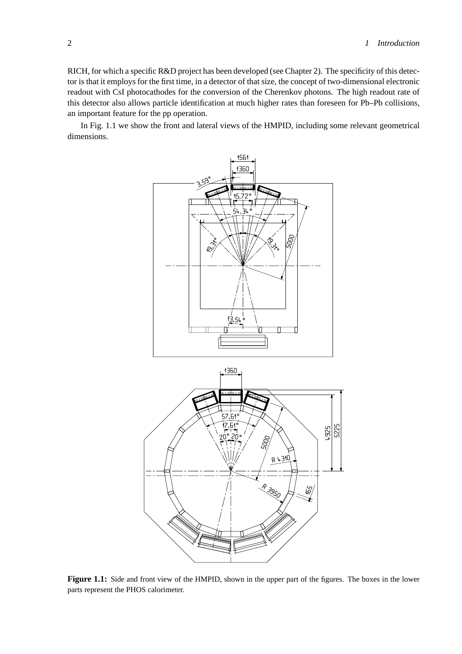RICH, for which a specific R&D project has been developed (see Chapter 2). The specificity of this detector is that it employs for the first time, in a detector of that size, the concept of two-dimensional electronic readout with CsI photocathodes for the conversion of the Cherenkov photons. The high readout rate of this detector also allows particle identification at much higher rates than foreseen for Pb–Pb collisions, an important feature for the pp operation.

In Fig. 1.1 we show the front and lateral views of the HMPID, including some relevant geometrical dimensions.



**Figure 1.1:** Side and front view of the HMPID, shown in the upper part of the figures. The boxes in the lower parts represent the PHOS calorimeter.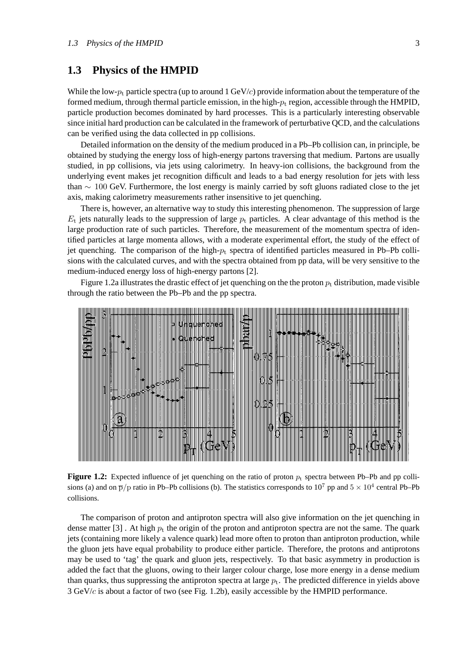# **1.3 Physics of the HMPID**

While the low- $p_t$  particle spectra (up to around 1 GeV/*c*) provide information about the temperature of the formed medium, through thermal particle emission, in the high- $p_t$  region, accessible through the HMPID, particle production becomes dominated by hard processes. This is a particularly interesting observable since initial hard production can be calculated in the framework of perturbative QCD, and the calculations can be verified using the data collected in pp collisions.

Detailed information on the density of the medium produced in a Pb–Pb collision can, in principle, be obtained by studying the energy loss of high-energy partons traversing that medium. Partons are usually studied, in pp collisions, via jets using calorimetry. In heavy-ion collisions, the background from the underlying event makes jet recognition difficult and leads to a bad energy resolution for jets with less than  $\sim 100$  GeV. Furthermore, the lost energy is mainly carried by soft gluons radiated close to the jet axis, making calorimetry measurements rather insensitive to jet quenching.

There is, however, an alternative way to study this interesting phenomenon. The suppression of large  $E_t$  jets naturally leads to the suppression of large  $p_t$  particles. A clear advantage of this method is the large production rate of such particles. Therefore, the measurement of the momentum spectra of identified particles at large momenta allows, with a moderate experimental effort, the study of the effect of jet quenching. The comparison of the high- $p_t$  spectra of identified particles measured in Pb–Pb collisions with the calculated curves, and with the spectra obtained from pp data, will be very sensitive to the medium-induced energy loss of high-energy partons [2].

Figure 1.2a illustrates the drastic effect of jet quenching on the the proton  $p_t$  distribution, made visible through the ratio between the Pb–Pb and the pp spectra.



**Figure 1.2:** Expected influence of jet quenching on the ratio of proton  $p_t$  spectra between Pb–Pb and pp collisions (a) and on  $\bar{p}/p$  ratio in Pb–Pb collisions (b). The statistics corresponds to  $10^7$  pp and  $5 \times 10^4$  central Pb–Pb collisions.

The comparison of proton and antiproton spectra will also give information on the jet quenching in dense matter [3]. At high  $p_t$  the origin of the proton and antiproton spectra are not the same. The quark jets (containing more likely a valence quark) lead more often to proton than antiproton production, while the gluon jets have equal probability to produce either particle. Therefore, the protons and antiprotons may be used to 'tag' the quark and gluon jets, respectively. To that basic asymmetry in production is added the fact that the gluons, owing to their larger colour charge, lose more energy in a dense medium than quarks, thus suppressing the antiproton spectra at large  $p_t$ . The predicted difference in yields above 3 GeV/*c* is about a factor of two (see Fig. 1.2b), easily accessible by the HMPID performance.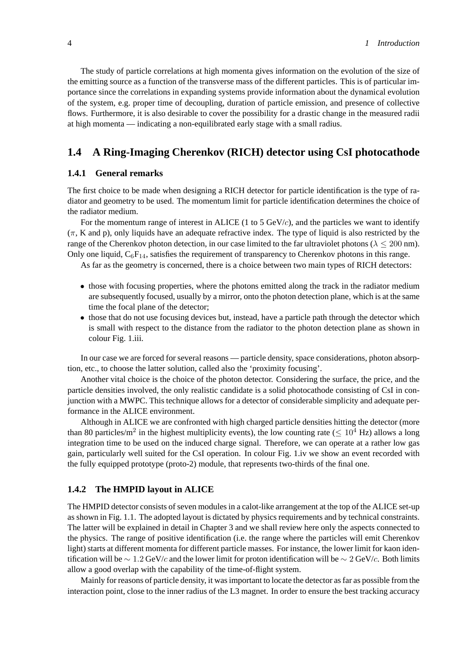The study of particle correlations at high momenta gives information on the evolution of the size of the emitting source as a function of the transverse mass of the different particles. This is of particular importance since the correlations in expanding systems provide information about the dynamical evolution of the system, e.g. proper time of decoupling, duration of particle emission, and presence of collective flows. Furthermore, it is also desirable to cover the possibility for a drastic change in the measured radii at high momenta — indicating a non-equilibrated early stage with a small radius.

# **1.4 A Ring-Imaging Cherenkov (RICH) detector using CsI photocathode**

## **1.4.1 General remarks**

The first choice to be made when designing a RICH detector for particle identification is the type of radiator and geometry to be used. The momentum limit for particle identification determines the choice of the radiator medium.

For the momentum range of interest in ALICE (1 to 5 GeV/*c*), and the particles we want to identify (*π*, K and p), only liquids have an adequate refractive index. The type of liquid is also restricted by the range of the Cherenkov photon detection, in our case limited to the far ultraviolet photons ( $\lambda$  < 200 nm). Only one liquid,  $C_6F_{14}$ , satisfies the requirement of transparency to Cherenkov photons in this range.

As far as the geometry is concerned, there is a choice between two main types of RICH detectors:

- those with focusing properties, where the photons emitted along the track in the radiator medium are subsequently focused, usually by a mirror, onto the photon detection plane, which is at the same time the focal plane of the detector;
- those that do not use focusing devices but, instead, have a particle path through the detector which is small with respect to the distance from the radiator to the photon detection plane as shown in colour Fig. 1.iii.

In our case we are forced for several reasons — particle density, space considerations, photon absorption, etc., to choose the latter solution, called also the 'proximity focusing'.

Another vital choice is the choice of the photon detector. Considering the surface, the price, and the particle densities involved, the only realistic candidate is a solid photocathode consisting of CsI in conjunction with a MWPC. This technique allows for a detector of considerable simplicity and adequate performance in the ALICE environment.

Although in ALICE we are confronted with high charged particle densities hitting the detector (more than 80 particles/m<sup>2</sup> in the highest multiplicity events), the low counting rate ( $\leq 10^4$  Hz) allows a long integration time to be used on the induced charge signal. Therefore, we can operate at a rather low gas gain, particularly well suited for the CsI operation. In colour Fig. 1.iv we show an event recorded with the fully equipped prototype (proto-2) module, that represents two-thirds of the final one.

# **1.4.2 The HMPID layout in ALICE**

The HMPID detector consists of seven modules in a calot-like arrangement at the top of the ALICE set-up as shown in Fig. 1.1. The adopted layout is dictated by physics requirements and by technical constraints. The latter will be explained in detail in Chapter 3 and we shall review here only the aspects connected to the physics. The range of positive identification (i.e. the range where the particles will emit Cherenkov light) starts at different momenta for different particle masses. For instance, the lower limit for kaon identification will be ∼ 1*.*2 GeV/*c* and the lower limit for proton identification will be ∼ 2 GeV/*c*. Both limits allow a good overlap with the capability of the time-of-flight system.

Mainly for reasons of particle density, it was important to locate the detector as far as possible from the interaction point, close to the inner radius of the L3 magnet. In order to ensure the best tracking accuracy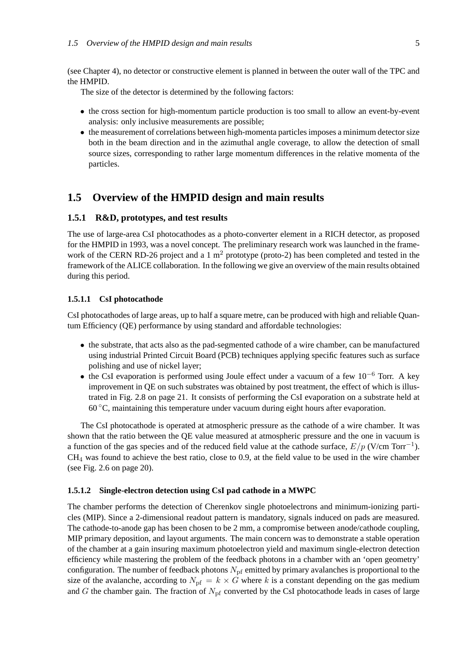(see Chapter 4), no detector or constructive element is planned in between the outer wall of the TPC and the HMPID.

The size of the detector is determined by the following factors:

- the cross section for high-momentum particle production is too small to allow an event-by-event analysis: only inclusive measurements are possible;
- the measurement of correlations between high-momenta particles imposes a minimum detector size both in the beam direction and in the azimuthal angle coverage, to allow the detection of small source sizes, corresponding to rather large momentum differences in the relative momenta of the particles.

# **1.5 Overview of the HMPID design and main results**

### **1.5.1 R&D, prototypes, and test results**

The use of large-area CsI photocathodes as a photo-converter element in a RICH detector, as proposed for the HMPID in 1993, was a novel concept. The preliminary research work was launched in the framework of the CERN RD-26 project and a 1  $m<sup>2</sup>$  prototype (proto-2) has been completed and tested in the framework of the ALICE collaboration. In the following we give an overview of the main results obtained during this period.

#### **1.5.1.1 CsI photocathode**

CsI photocathodes of large areas, up to half a square metre, can be produced with high and reliable Quantum Efficiency (QE) performance by using standard and affordable technologies:

- the substrate, that acts also as the pad-segmented cathode of a wire chamber, can be manufactured using industrial Printed Circuit Board (PCB) techniques applying specific features such as surface polishing and use of nickel layer;
- the CsI evaporation is performed using Joule effect under a vacuum of a few  $10^{-6}$  Torr. A key improvement in QE on such substrates was obtained by post treatment, the effect of which is illustrated in Fig. 2.8 on page 21. It consists of performing the CsI evaporation on a substrate held at  $60^{\circ}$ C, maintaining this temperature under vacuum during eight hours after evaporation.

The CsI photocathode is operated at atmospheric pressure as the cathode of a wire chamber. It was shown that the ratio between the QE value measured at atmospheric pressure and the one in vacuum is a function of the gas species and of the reduced field value at the cathode surface,  $E/p$  (V/cm Torr<sup>-1</sup>). CH<sup>4</sup> was found to achieve the best ratio, close to 0.9, at the field value to be used in the wire chamber (see Fig. 2.6 on page 20).

#### **1.5.1.2 Single-electron detection using CsI pad cathode in a MWPC**

The chamber performs the detection of Cherenkov single photoelectrons and minimum-ionizing particles (MIP). Since a 2-dimensional readout pattern is mandatory, signals induced on pads are measured. The cathode-to-anode gap has been chosen to be 2 mm, a compromise between anode/cathode coupling, MIP primary deposition, and layout arguments. The main concern was to demonstrate a stable operation of the chamber at a gain insuring maximum photoelectron yield and maximum single-electron detection efficiency while mastering the problem of the feedback photons in a chamber with an 'open geometry' configuration. The number of feedback photons  $N_{\text{pf}}$  emitted by primary avalanches is proportional to the size of the avalanche, according to  $N_{\text{pf}} = k \times G$  where k is a constant depending on the gas medium and *G* the chamber gain. The fraction of  $N_{\text{pf}}$  converted by the CsI photocathode leads in cases of large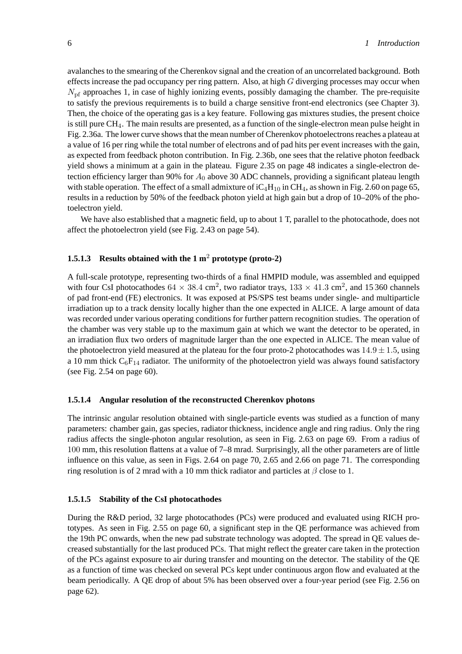avalanches to the smearing of the Cherenkov signal and the creation of an uncorrelated background. Both effects increase the pad occupancy per ring pattern. Also, at high *G* diverging processes may occur when  $N<sub>pf</sub>$  approaches 1, in case of highly ionizing events, possibly damaging the chamber. The pre-requisite to satisfy the previous requirements is to build a charge sensitive front-end electronics (see Chapter 3). Then, the choice of the operating gas is a key feature. Following gas mixtures studies, the present choice is still pure CH4. The main results are presented, as a function of the single-electron mean pulse height in Fig. 2.36a. The lower curve shows that the mean number of Cherenkov photoelectrons reaches a plateau at a value of 16 per ring while the total number of electrons and of pad hits per event increases with the gain, as expected from feedback photon contribution. In Fig. 2.36b, one sees that the relative photon feedback yield shows a minimum at a gain in the plateau. Figure 2.35 on page 48 indicates a single-electron detection efficiency larger than 90% for *A*<sup>0</sup> above 30 ADC channels, providing a significant plateau length with stable operation. The effect of a small admixture of  $iC_4H_{10}$  in CH<sub>4</sub>, as shown in Fig. 2.60 on page 65, results in a reduction by 50% of the feedback photon yield at high gain but a drop of 10–20% of the photoelectron yield.

We have also established that a magnetic field, up to about 1 T, parallel to the photocathode, does not affect the photoelectron yield (see Fig. 2.43 on page 54).

## **1.5.1.3 Results obtained with the 1 m**<sup>2</sup> **prototype (proto-2)**

A full-scale prototype, representing two-thirds of a final HMPID module, was assembled and equipped with four CsI photocathodes  $64 \times 38.4$  cm<sup>2</sup>, two radiator trays,  $133 \times 41.3$  cm<sup>2</sup>, and 15 360 channels of pad front-end (FE) electronics. It was exposed at PS/SPS test beams under single- and multiparticle irradiation up to a track density locally higher than the one expected in ALICE. A large amount of data was recorded under various operating conditions for further pattern recognition studies. The operation of the chamber was very stable up to the maximum gain at which we want the detector to be operated, in an irradiation flux two orders of magnitude larger than the one expected in ALICE. The mean value of the photoelectron yield measured at the plateau for the four proto-2 photocathodes was  $14.9 \pm 1.5$ , using a 10 mm thick  $C_6F_{14}$  radiator. The uniformity of the photoelectron yield was always found satisfactory (see Fig. 2.54 on page 60).

#### **1.5.1.4 Angular resolution of the reconstructed Cherenkov photons**

The intrinsic angular resolution obtained with single-particle events was studied as a function of many parameters: chamber gain, gas species, radiator thickness, incidence angle and ring radius. Only the ring radius affects the single-photon angular resolution, as seen in Fig. 2.63 on page 69. From a radius of 100 mm, this resolution flattens at a value of 7–8 mrad. Surprisingly, all the other parameters are of little influence on this value, as seen in Figs. 2.64 on page 70, 2.65 and 2.66 on page 71. The corresponding ring resolution is of 2 mrad with a 10 mm thick radiator and particles at *β* close to 1.

#### **1.5.1.5 Stability of the CsI photocathodes**

During the R&D period, 32 large photocathodes (PCs) were produced and evaluated using RICH prototypes. As seen in Fig. 2.55 on page 60, a significant step in the QE performance was achieved from the 19th PC onwards, when the new pad substrate technology was adopted. The spread in QE values decreased substantially for the last produced PCs. That might reflect the greater care taken in the protection of the PCs against exposure to air during transfer and mounting on the detector. The stability of the QE as a function of time was checked on several PCs kept under continuous argon flow and evaluated at the beam periodically. A QE drop of about 5% has been observed over a four-year period (see Fig. 2.56 on page 62).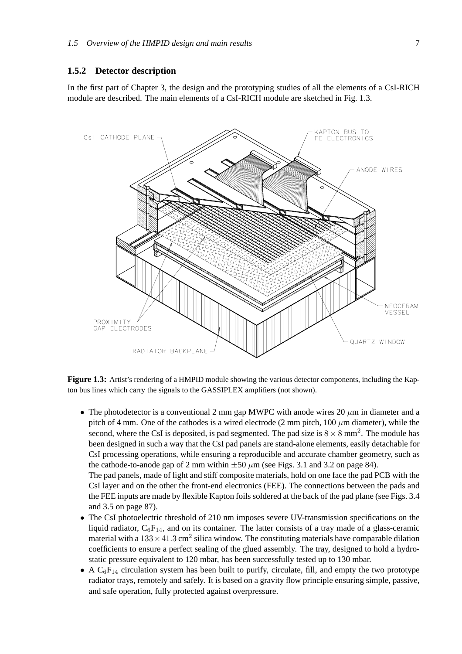## **1.5.2 Detector description**

In the first part of Chapter 3, the design and the prototyping studies of all the elements of a CsI-RICH module are described. The main elements of a CsI-RICH module are sketched in Fig. 1.3.



**Figure 1.3:** Artist's rendering of a HMPID module showing the various detector components, including the Kapton bus lines which carry the signals to the GASSIPLEX amplifiers (not shown).

• The photodetector is a conventional 2 mm gap MWPC with anode wires 20  $\mu$ m in diameter and a pitch of 4 mm. One of the cathodes is a wired electrode (2 mm pitch,  $100 \mu m$  diameter), while the second, where the CsI is deposited, is pad segmented. The pad size is  $8 \times 8$  mm<sup>2</sup>. The module has been designed in such a way that the CsI pad panels are stand-alone elements, easily detachable for CsI processing operations, while ensuring a reproducible and accurate chamber geometry, such as the cathode-to-anode gap of 2 mm within  $\pm 50 \ \mu m$  (see Figs. 3.1 and 3.2 on page 84).

The pad panels, made of light and stiff composite materials, hold on one face the pad PCB with the CsI layer and on the other the front-end electronics (FEE). The connections between the pads and the FEE inputs are made by flexible Kapton foils soldered at the back of the pad plane (see Figs. 3.4 and 3.5 on page 87).

- The CsI photoelectric threshold of 210 nm imposes severe UV-transmission specifications on the liquid radiator,  $C_6F_{14}$ , and on its container. The latter consists of a tray made of a glass-ceramic material with a  $133 \times 41.3$  cm<sup>2</sup> silica window. The constituting materials have comparable dilation coefficients to ensure a perfect sealing of the glued assembly. The tray, designed to hold a hydrostatic pressure equivalent to 120 mbar, has been successfully tested up to 130 mbar.
- A  $C_6F_{14}$  circulation system has been built to purify, circulate, fill, and empty the two prototype radiator trays, remotely and safely. It is based on a gravity flow principle ensuring simple, passive, and safe operation, fully protected against overpressure.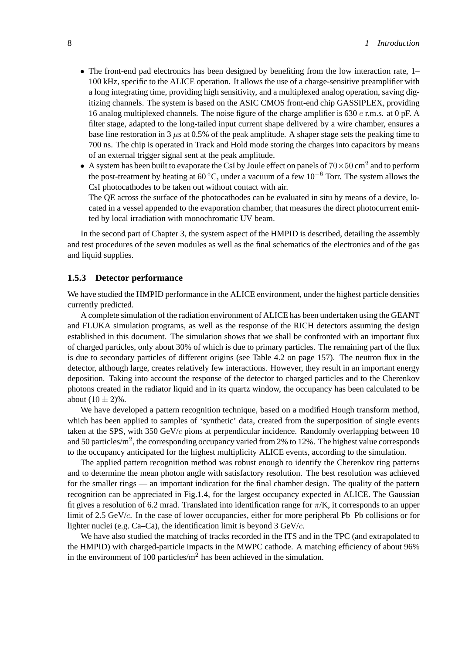- The front-end pad electronics has been designed by benefiting from the low interaction rate, 1– 100 kHz, specific to the ALICE operation. It allows the use of a charge-sensitive preamplifier with a long integrating time, providing high sensitivity, and a multiplexed analog operation, saving digitizing channels. The system is based on the ASIC CMOS front-end chip GASSIPLEX, providing 16 analog multiplexed channels. The noise figure of the charge amplifier is 630 *e* r.m.s. at 0 pF. A filter stage, adapted to the long-tailed input current shape delivered by a wire chamber, ensures a base line restoration in 3 *µ*s at 0.5% of the peak amplitude. A shaper stage sets the peaking time to 700 ns. The chip is operated in Track and Hold mode storing the charges into capacitors by means of an external trigger signal sent at the peak amplitude.
- A system has been built to evaporate the CsI by Joule effect on panels of  $70 \times 50$  cm<sup>2</sup> and to perform the post-treatment by heating at 60 ◦C, under a vacuum of a few 10−<sup>6</sup> Torr. The system allows the CsI photocathodes to be taken out without contact with air.

The QE across the surface of the photocathodes can be evaluated in situ by means of a device, located in a vessel appended to the evaporation chamber, that measures the direct photocurrent emitted by local irradiation with monochromatic UV beam.

In the second part of Chapter 3, the system aspect of the HMPID is described, detailing the assembly and test procedures of the seven modules as well as the final schematics of the electronics and of the gas and liquid supplies.

## **1.5.3 Detector performance**

We have studied the HMPID performance in the ALICE environment, under the highest particle densities currently predicted.

A complete simulation of the radiation environment of ALICE has been undertaken using the GEANT and FLUKA simulation programs, as well as the response of the RICH detectors assuming the design established in this document. The simulation shows that we shall be confronted with an important flux of charged particles, only about 30% of which is due to primary particles. The remaining part of the flux is due to secondary particles of different origins (see Table 4.2 on page 157). The neutron flux in the detector, although large, creates relatively few interactions. However, they result in an important energy deposition. Taking into account the response of the detector to charged particles and to the Cherenkov photons created in the radiator liquid and in its quartz window, the occupancy has been calculated to be about  $(10 \pm 2)\%$ .

We have developed a pattern recognition technique, based on a modified Hough transform method, which has been applied to samples of 'synthetic' data, created from the superposition of single events taken at the SPS, with 350 GeV/*c* pions at perpendicular incidence. Randomly overlapping between 10 and 50 particles/m<sup>2</sup>, the corresponding occupancy varied from 2% to 12%. The highest value corresponds to the occupancy anticipated for the highest multiplicity ALICE events, according to the simulation.

The applied pattern recognition method was robust enough to identify the Cherenkov ring patterns and to determine the mean photon angle with satisfactory resolution. The best resolution was achieved for the smaller rings — an important indication for the final chamber design. The quality of the pattern recognition can be appreciated in Fig.1.4, for the largest occupancy expected in ALICE. The Gaussian fit gives a resolution of 6.2 mrad. Translated into identification range for *π*/K, it corresponds to an upper limit of 2.5 GeV/*c*. In the case of lower occupancies, either for more peripheral Pb–Pb collisions or for lighter nuclei (e.g. Ca–Ca), the identification limit is beyond 3 GeV/*c*.

We have also studied the matching of tracks recorded in the ITS and in the TPC (and extrapolated to the HMPID) with charged-particle impacts in the MWPC cathode. A matching efficiency of about 96% in the environment of 100 particles/ $m<sup>2</sup>$  has been achieved in the simulation.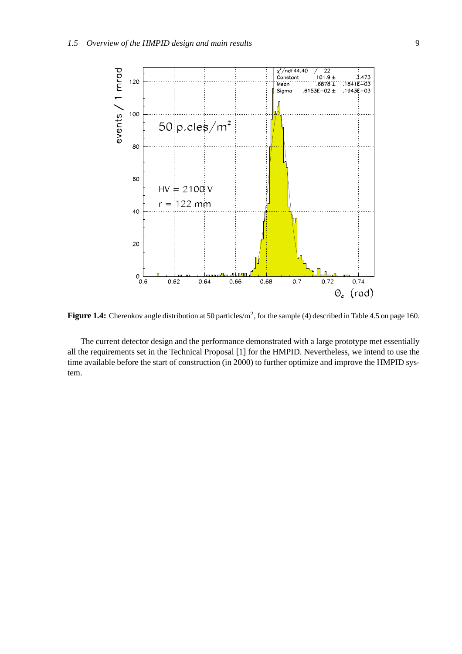

**Figure 1.4:** Cherenkov angle distribution at 50 particles/m<sup>2</sup>, for the sample (4) described in Table 4.5 on page 160.

The current detector design and the performance demonstrated with a large prototype met essentially all the requirements set in the Technical Proposal [1] for the HMPID. Nevertheless, we intend to use the time available before the start of construction (in 2000) to further optimize and improve the HMPID system.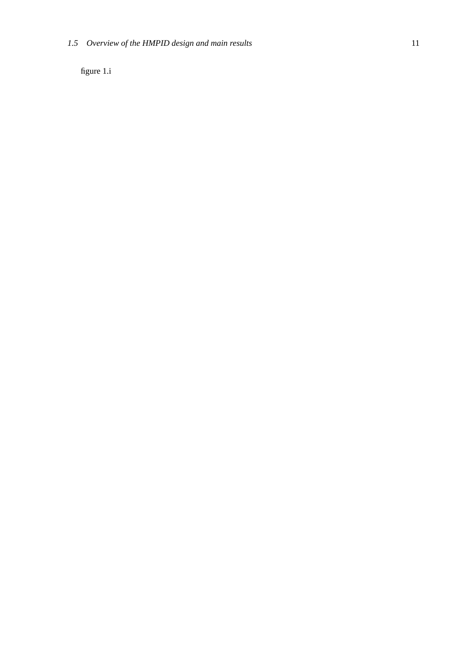figure 1.i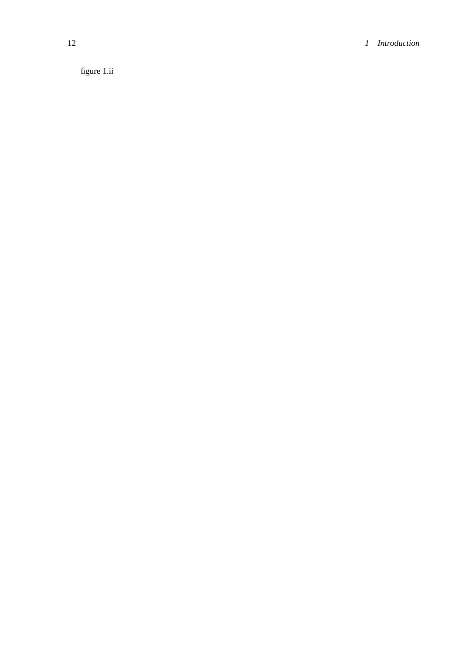figure 1.ii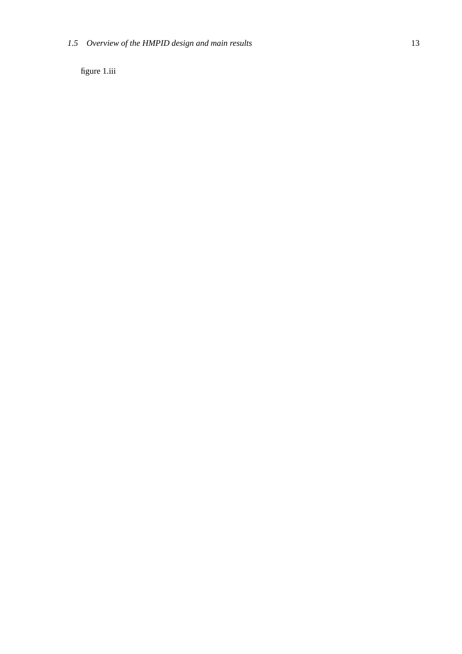figure 1.iii